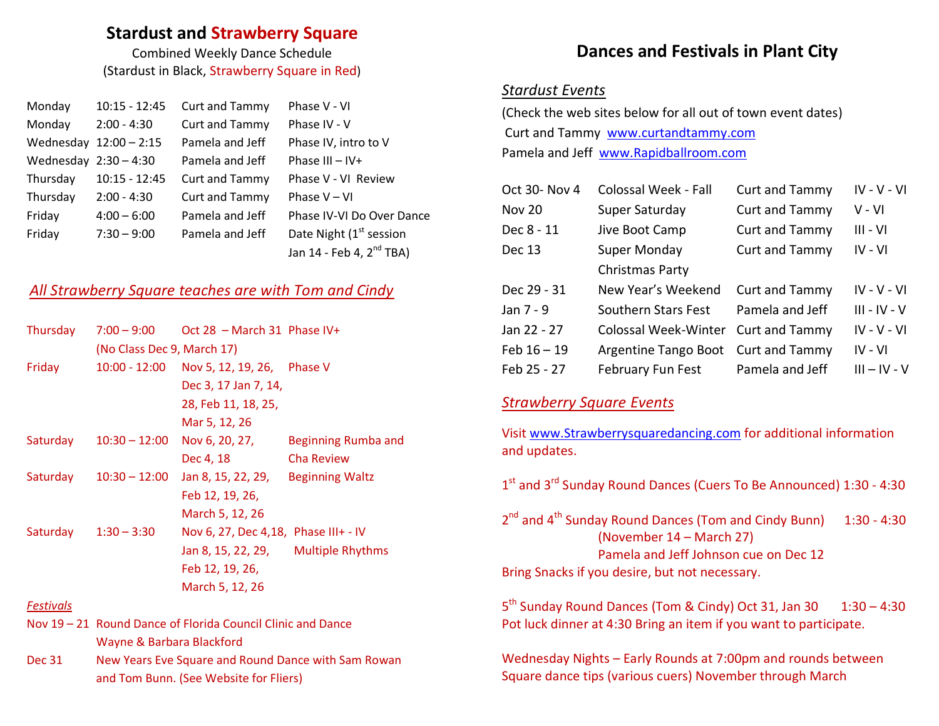#### **Stardust and Strawberry Square**

Combined Weekly Dance Schedule (Stardust in Black, Strawberry Square in Red)

| Monday                  | $10:15 - 12:45$          | <b>Curt and Tammy</b> | Phase V - VI                         |
|-------------------------|--------------------------|-----------------------|--------------------------------------|
| Monday                  | $2:00 - 4:30$            | Curt and Tammy        | Phase IV - V                         |
|                         | Wednesday $12:00 - 2:15$ | Pamela and Jeff       | Phase IV, intro to V                 |
| Wednesday $2:30 - 4:30$ |                          | Pamela and Jeff       | Phase III $-$ IV+                    |
| Thursday                | $10:15 - 12:45$          | Curt and Tammy        | Phase V - VI Review                  |
| Thursday                | $2:00 - 4:30$            | Curt and Tammy        | Phase $V - VI$                       |
| Friday                  | $4:00 - 6:00$            | Pamela and Jeff       | Phase IV-VI Do Over Dance            |
| Friday                  | $7:30 - 9:00$            | Pamela and Jeff       | Date Night (1 <sup>st</sup> session  |
|                         |                          |                       | Jan 14 - Feb 4, 2 <sup>nd</sup> TBA) |

#### *All Strawberry Square teaches are with Tom and Cindy*

| Thursday | $7:00 - 9:00$              | Oct 28 - March 31 Phase IV+           |                         |
|----------|----------------------------|---------------------------------------|-------------------------|
|          | (No Class Dec 9, March 17) |                                       |                         |
| Friday   | 10:00 - 12:00              | Nov 5, 12, 19, 26, Phase V            |                         |
|          |                            | Dec 3, 17 Jan 7, 14,                  |                         |
|          |                            | 28, Feb 11, 18, 25,                   |                         |
|          |                            | Mar 5, 12, 26                         |                         |
| Saturday | $10:30 - 12:00$            | Nov 6, 20, 27,                        | Beginning Rumba and     |
|          |                            | Dec 4, 18                             | Cha Review              |
| Saturday | $10:30 - 12:00$            | Jan 8, 15, 22, 29,                    | <b>Beginning Waltz</b>  |
|          |                            | Feb 12, 19, 26,                       |                         |
|          |                            | March 5, 12, 26                       |                         |
| Saturday | $1:30 - 3:30$              | Nov 6, 27, Dec 4, 18, Phase III+ - IV |                         |
|          |                            | Jan 8, 15, 22, 29,                    | <b>Multiple Rhythms</b> |
|          |                            | Feb 12, 19, 26,                       |                         |
|          |                            | March 5, 12, 26                       |                         |

#### *Festivals*

- Nov 19 21 Round Dance of Florida Council Clinic and Dance Wayne & Barbara Blackford
- Dec 31 New Years Eve Square and Round Dance with Sam Rowan and Tom Bunn. (See Website for Fliers)

## **Dances and Festivals in Plant City**

#### *Stardust Events*

(Check the web sites below for all out of town event dates) Curt and Tammy [www.curtandtammy.com](http://www.curtandtammy.com/) Pamela and Jeff [www.Rapidballroom.com](http://www.rapidballroom.com/)

| Oct 30- Nov 4 | Colossal Week - Fall        | Curt and Tammy        | $IV - V - VI$  |
|---------------|-----------------------------|-----------------------|----------------|
| <b>Nov 20</b> | Super Saturday              | Curt and Tammy        | V - VI         |
| Dec 8 - 11    | Jive Boot Camp              | Curt and Tammy        | $III - VI$     |
| Dec 13        | Super Monday                | Curt and Tammy        | $IV - VI$      |
|               | Christmas Party             |                       |                |
| Dec 29 - 31   | New Year's Weekend          | <b>Curt and Tammy</b> | $IV - V - VI$  |
| Jan 7 - 9     | Southern Stars Fest         | Pamela and Jeff       | $III - IV - V$ |
| Jan 22 - 27   | <b>Colossal Week-Winter</b> | Curt and Tammy        | $IV - V - VI$  |
| $Feb 16 - 19$ | Argentine Tango Boot        | Curt and Tammy        | IV - VI        |
| Feb 25 - 27   | February Fun Fest           | Pamela and Jeff       | $III - IV - V$ |

#### *Strawberry Square Events*

Visi[t www.Strawberrysquaredancing.com](http://www.strawberrysquaredancing.com/) for additional information and updates.

1<sup>st</sup> and 3<sup>rd</sup> Sunday Round Dances (Cuers To Be Announced) 1:30 - 4:30

2<sup>nd</sup> and 4<sup>th</sup> Sunday Round Dances (Tom and Cindy Bunn) 1:30 - 4:30 (November 14 – March 27) Pamela and Jeff Johnson cue on Dec 12 Bring Snacks if you desire, but not necessary.

 $5<sup>th</sup>$  Sunday Round Dances (Tom & Cindy) Oct 31, Jan 30  $1:30-4:30$ Pot luck dinner at 4:30 Bring an item if you want to participate.

Wednesday Nights – Early Rounds at 7:00pm and rounds between Square dance tips (various cuers) November through March